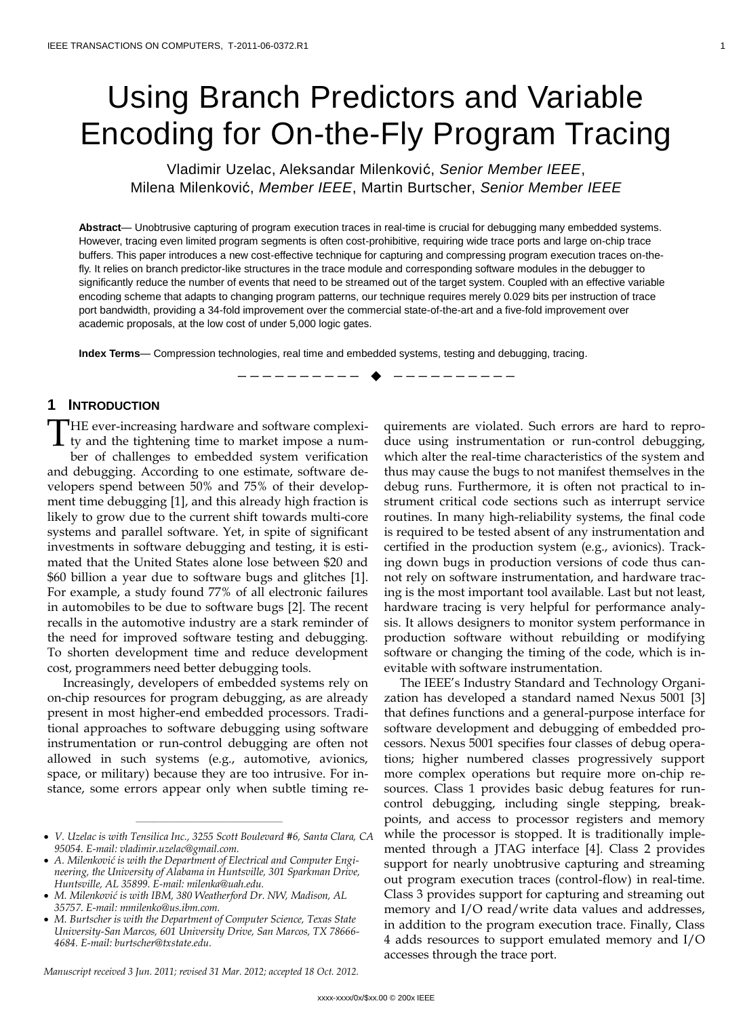# Using Branch Predictors and Variable Encoding for On-the-Fly Program Tracing

Vladimir Uzelac, Aleksandar Milenković, *Senior Member IEEE*, Milena Milenković, *Member IEEE*, Martin Burtscher, *Senior Member IEEE*

**Abstract**— Unobtrusive capturing of program execution traces in real-time is crucial for debugging many embedded systems. However, tracing even limited program segments is often cost-prohibitive, requiring wide trace ports and large on-chip trace buffers. This paper introduces a new cost-effective technique for capturing and compressing program execution traces on-thefly. It relies on branch predictor-like structures in the trace module and corresponding software modules in the debugger to significantly reduce the number of events that need to be streamed out of the target system. Coupled with an effective variable encoding scheme that adapts to changing program patterns, our technique requires merely 0.029 bits per instruction of trace port bandwidth, providing a 34-fold improvement over the commercial state-of-the-art and a five-fold improvement over academic proposals, at the low cost of under 5,000 logic gates.

————————— ♦ -----------

**Index Terms**— Compression technologies, real time and embedded systems, testing and debugging, tracing.

# **1 INTRODUCTION**

HE ever-increasing hardware and software complexity and the tightening time to market impose a num-T

ber of challenges to embedded system verification and debugging. According to one estimate, software developers spend between 50% and 75% of their development time debugging [1], and this already high fraction is likely to grow due to the current shift towards multi-core systems and parallel software. Yet, in spite of significant investments in software debugging and testing, it is estimated that the United States alone lose between \$20 and \$60 billion a year due to software bugs and glitches [1]. For example, a study found 77% of all electronic failures in automobiles to be due to software bugs [2]. The recent recalls in the automotive industry are a stark reminder of the need for improved software testing and debugging. To shorten development time and reduce development cost, programmers need better debugging tools.

Increasingly, developers of embedded systems rely on on-chip resources for program debugging, as are already present in most higher-end embedded processors. Traditional approaches to software debugging using software instrumentation or run-control debugging are often not allowed in such systems (e.g., automotive, avionics, space, or military) because they are too intrusive. For instance, some errors appear only when subtle timing re-

quirements are violated. Such errors are hard to reproduce using instrumentation or run-control debugging, which alter the real-time characteristics of the system and thus may cause the bugs to not manifest themselves in the debug runs. Furthermore, it is often not practical to instrument critical code sections such as interrupt service routines. In many high-reliability systems, the final code is required to be tested absent of any instrumentation and certified in the production system (e.g., avionics). Tracking down bugs in production versions of code thus cannot rely on software instrumentation, and hardware tracing is the most important tool available. Last but not least, hardware tracing is very helpful for performance analysis. It allows designers to monitor system performance in production software without rebuilding or modifying software or changing the timing of the code, which is inevitable with software instrumentation.

The IEEE's Industry Standard and Technology Organization has developed a standard named Nexus 5001 [3] that defines functions and a general-purpose interface for software development and debugging of embedded processors. Nexus 5001 specifies four classes of debug operations; higher numbered classes progressively support more complex operations but require more on-chip resources. Class 1 provides basic debug features for runcontrol debugging, including single stepping, breakpoints, and access to processor registers and memory while the processor is stopped. It is traditionally implemented through a JTAG interface [4]. Class 2 provides support for nearly unobtrusive capturing and streaming out program execution traces (control-flow) in real-time. Class 3 provides support for capturing and streaming out memory and I/O read/write data values and addresses, in addition to the program execution trace. Finally, Class 4 adds resources to support emulated memory and I/O accesses through the trace port.

<sup>————————————————</sup> *V. Uzelac is with Tensilica Inc., 3255 Scott Boulevard #6, Santa Clara, CA 95054. E-mail: vladimir.uzelac@gmail.com.*

*A. Milenković is with the Department of Electrical and Computer Engineering, the University of Alabama in Huntsville, 301 Sparkman Drive, Huntsville, AL 35899. E-mail: milenka@uah.edu.*

*M. Milenković is with IBM, 380 Weatherford Dr. NW, Madison, AL 35757. E-mail: mmilenko@us.ibm.com.*

*M. Burtscher is with the Department of Computer Science, Texas State University-San Marcos, 601 University Drive, San Marcos, TX 78666- 4684. E-mail: burtscher@txstate.edu.*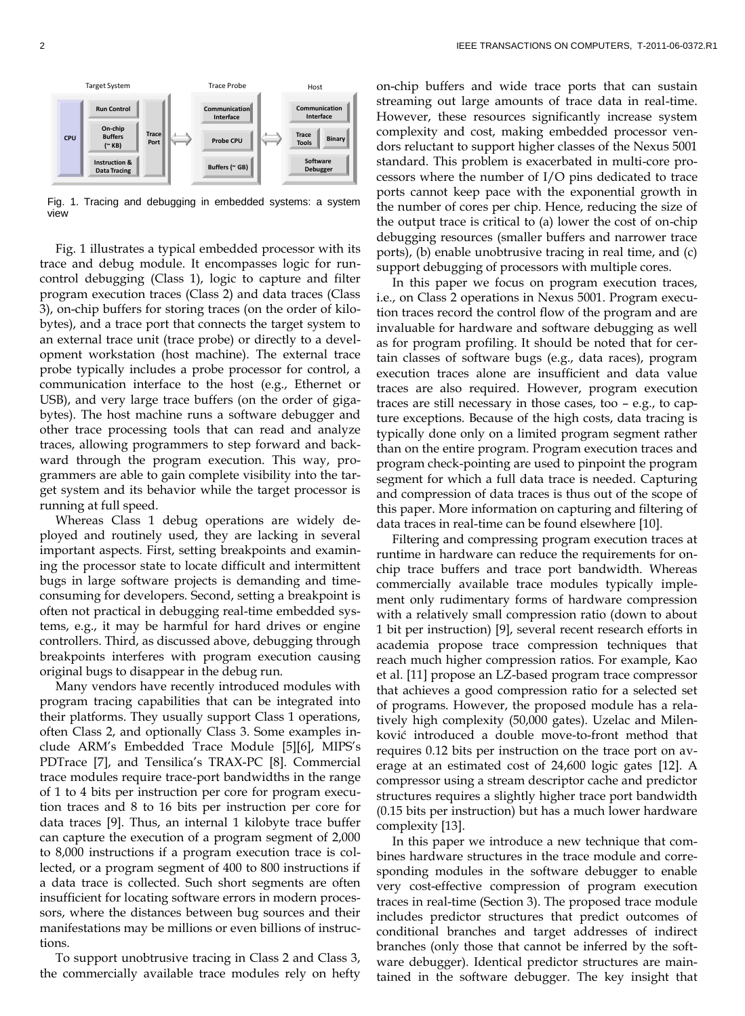

<span id="page-1-0"></span>Fig. 1. Tracing and debugging in embedded systems: a system view

[Fig. 1](#page-1-0) illustrates a typical embedded processor with its trace and debug module. It encompasses logic for runcontrol debugging (Class 1), logic to capture and filter program execution traces (Class 2) and data traces (Class 3), on-chip buffers for storing traces (on the order of kilobytes), and a trace port that connects the target system to an external trace unit (trace probe) or directly to a development workstation (host machine). The external trace probe typically includes a probe processor for control, a communication interface to the host (e.g., Ethernet or USB), and very large trace buffers (on the order of gigabytes). The host machine runs a software debugger and other trace processing tools that can read and analyze traces, allowing programmers to step forward and backward through the program execution. This way, programmers are able to gain complete visibility into the target system and its behavior while the target processor is running at full speed.

Whereas Class 1 debug operations are widely deployed and routinely used, they are lacking in several important aspects. First, setting breakpoints and examining the processor state to locate difficult and intermittent bugs in large software projects is demanding and timeconsuming for developers. Second, setting a breakpoint is often not practical in debugging real-time embedded systems, e.g., it may be harmful for hard drives or engine controllers. Third, as discussed above, debugging through breakpoints interferes with program execution causing original bugs to disappear in the debug run.

Many vendors have recently introduced modules with program tracing capabilities that can be integrated into their platforms. They usually support Class 1 operations, often Class 2, and optionally Class 3. Some examples include ARM's Embedded Trace Module [5][6], MIPS's PDTrace [7], and Tensilica's TRAX-PC [8]. Commercial trace modules require trace-port bandwidths in the range of 1 to 4 bits per instruction per core for program execution traces and 8 to 16 bits per instruction per core for data traces [9]. Thus, an internal 1 kilobyte trace buffer can capture the execution of a program segment of 2,000 to 8,000 instructions if a program execution trace is collected, or a program segment of 400 to 800 instructions if a data trace is collected. Such short segments are often insufficient for locating software errors in modern processors, where the distances between bug sources and their manifestations may be millions or even billions of instructions.

To support unobtrusive tracing in Class 2 and Class 3, the commercially available trace modules rely on hefty on-chip buffers and wide trace ports that can sustain streaming out large amounts of trace data in real-time. However, these resources significantly increase system complexity and cost, making embedded processor vendors reluctant to support higher classes of the Nexus 5001 standard. This problem is exacerbated in multi-core processors where the number of I/O pins dedicated to trace ports cannot keep pace with the exponential growth in the number of cores per chip. Hence, reducing the size of the output trace is critical to (a) lower the cost of on-chip debugging resources (smaller buffers and narrower trace ports), (b) enable unobtrusive tracing in real time, and (c) support debugging of processors with multiple cores.

In this paper we focus on program execution traces, i.e., on Class 2 operations in Nexus 5001. Program execution traces record the control flow of the program and are invaluable for hardware and software debugging as well as for program profiling. It should be noted that for certain classes of software bugs (e.g., data races), program execution traces alone are insufficient and data value traces are also required. However, program execution traces are still necessary in those cases, too – e.g., to capture exceptions. Because of the high costs, data tracing is typically done only on a limited program segment rather than on the entire program. Program execution traces and program check-pointing are used to pinpoint the program segment for which a full data trace is needed. Capturing and compression of data traces is thus out of the scope of this paper. More information on capturing and filtering of data traces in real-time can be found elsewhere [10].

Filtering and compressing program execution traces at runtime in hardware can reduce the requirements for onchip trace buffers and trace port bandwidth. Whereas commercially available trace modules typically implement only rudimentary forms of hardware compression with a relatively small compression ratio (down to about 1 bit per instruction) [9], several recent research efforts in academia propose trace compression techniques that reach much higher compression ratios. For example, Kao et al. [11] propose an LZ-based program trace compressor that achieves a good compression ratio for a selected set of programs. However, the proposed module has a relatively high complexity (50,000 gates). Uzelac and Milenković introduced a double move-to-front method that requires 0.12 bits per instruction on the trace port on average at an estimated cost of 24,600 logic gates [12]. A compressor using a stream descriptor cache and predictor structures requires a slightly higher trace port bandwidth (0.15 bits per instruction) but has a much lower hardware complexity [13]. The main and the software of the software of the software of the software of the software of the software of the software of the software of the software of the software of the software of the software of the software of

In this paper we introduce a new technique that combines hardware structures in the trace module and corresponding modules in the software debugger to enable very cost-effective compression of program execution traces in real-time (Section 3). The proposed trace module includes predictor structures that predict outcomes of conditional branches and target addresses of indirect branches (only those that cannot be inferred by the software debugger). Identical predictor structures are main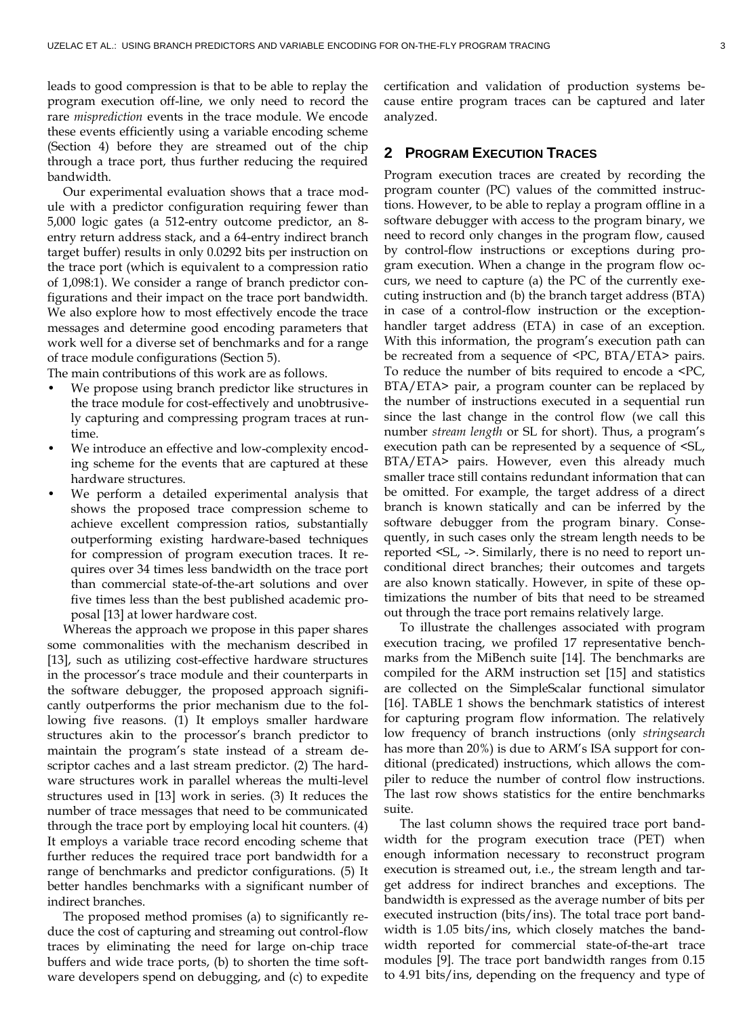leads to good compression is that to be able to replay the program execution off-line, we only need to record the rare *misprediction* events in the trace module. We encode these events efficiently using a variable encoding scheme (Section 4) before they are streamed out of the chip through a trace port, thus further reducing the required bandwidth.

Our experimental evaluation shows that a trace module with a predictor configuration requiring fewer than 5,000 logic gates (a 512-entry outcome predictor, an 8 entry return address stack, and a 64-entry indirect branch target buffer) results in only 0.0292 bits per instruction on the trace port (which is equivalent to a compression ratio of 1,098:1). We consider a range of branch predictor configurations and their impact on the trace port bandwidth. We also explore how to most effectively encode the trace messages and determine good encoding parameters that work well for a diverse set of benchmarks and for a range of trace module configurations (Section 5).

The main contributions of this work are as follows.

- We propose using branch predictor like structures in the trace module for cost-effectively and unobtrusively capturing and compressing program traces at runtime.
- We introduce an effective and low-complexity encoding scheme for the events that are captured at these hardware structures.
- We perform a detailed experimental analysis that shows the proposed trace compression scheme to achieve excellent compression ratios, substantially outperforming existing hardware-based techniques for compression of program execution traces. It requires over 34 times less bandwidth on the trace port than commercial state-of-the-art solutions and over five times less than the best published academic proposal [13] at lower hardware cost.

Whereas the approach we propose in this paper shares some commonalities with the mechanism described in [13], such as utilizing cost-effective hardware structures in the processor's trace module and their counterparts in the software debugger, the proposed approach significantly outperforms the prior mechanism due to the following five reasons. (1) It employs smaller hardware structures akin to the processor's branch predictor to maintain the program's state instead of a stream descriptor caches and a last stream predictor. (2) The hardware structures work in parallel whereas the multi-level structures used in [13] work in series. (3) It reduces the number of trace messages that need to be communicated through the trace port by employing local hit counters. (4) It employs a variable trace record encoding scheme that further reduces the required trace port bandwidth for a range of benchmarks and predictor configurations. (5) It better handles benchmarks with a significant number of indirect branches.

The proposed method promises (a) to significantly reduce the cost of capturing and streaming out control-flow traces by eliminating the need for large on-chip trace buffers and wide trace ports, (b) to shorten the time software developers spend on debugging, and (c) to expedite certification and validation of production systems because entire program traces can be captured and later analyzed.

# **2 PROGRAM EXECUTION TRACES**

Program execution traces are created by recording the program counter (PC) values of the committed instructions. However, to be able to replay a program offline in a software debugger with access to the program binary, we need to record only changes in the program flow, caused by control-flow instructions or exceptions during program execution. When a change in the program flow occurs, we need to capture (a) the PC of the currently executing instruction and (b) the branch target address (BTA) in case of a control-flow instruction or the exceptionhandler target address (ETA) in case of an exception. With this information, the program's execution path can be recreated from a sequence of <PC, BTA/ETA> pairs. To reduce the number of bits required to encode a <PC, BTA/ETA> pair, a program counter can be replaced by the number of instructions executed in a sequential run since the last change in the control flow (we call this number *stream length* or SL for short). Thus, a program's execution path can be represented by a sequence of <SL, BTA/ETA> pairs. However, even this already much smaller trace still contains redundant information that can be omitted. For example, the target address of a direct branch is known statically and can be inferred by the software debugger from the program binary. Consequently, in such cases only the stream length needs to be reported <SL, ->. Similarly, there is no need to report unconditional direct branches; their outcomes and targets are also known statically. However, in spite of these optimizations the number of bits that need to be streamed out through the trace port remains relatively large.

To illustrate the challenges associated with program execution tracing, we profiled 17 representative benchmarks from the MiBench suite [14]. The benchmarks are compiled for the ARM instruction set [15] and statistics are collected on the SimpleScalar functional simulator [16]. [TABLE 1](#page-3-0) shows the benchmark statistics of interest for capturing program flow information. The relatively low frequency of branch instructions (only *stringsearch* has more than 20%) is due to ARM's ISA support for conditional (predicated) instructions, which allows the compiler to reduce the number of control flow instructions. The last row shows statistics for the entire benchmarks suite.

The last column shows the required trace port bandwidth for the program execution trace (PET) when enough information necessary to reconstruct program execution is streamed out, i.e., the stream length and target address for indirect branches and exceptions. The bandwidth is expressed as the average number of bits per executed instruction (bits/ins). The total trace port bandwidth is 1.05 bits/ins, which closely matches the bandwidth reported for commercial state-of-the-art trace modules [9]. The trace port bandwidth ranges from 0.15 to 4.91 bits/ins, depending on the frequency and type of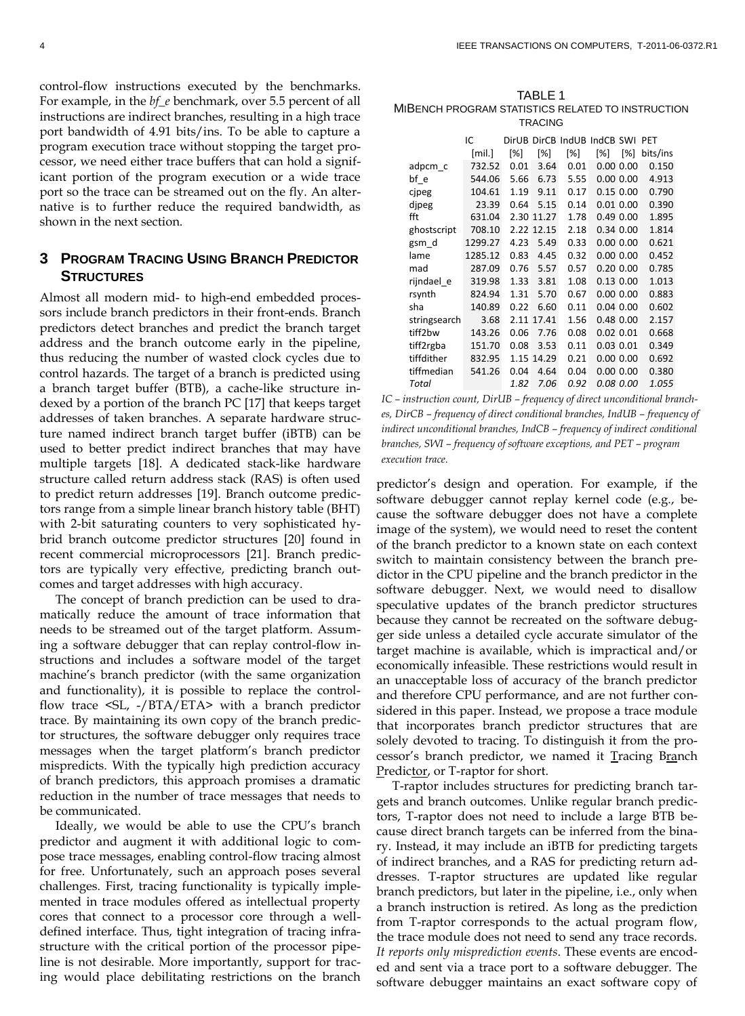control-flow instructions executed by the benchmarks. For example, in the *bf\_e* benchmark, over 5.5 percent of all instructions are indirect branches, resulting in a high trace port bandwidth of 4.91 bits/ins. To be able to capture a program execution trace without stopping the target processor, we need either trace buffers that can hold a significant portion of the program execution or a wide trace port so the trace can be streamed out on the fly. An alternative is to further reduce the required bandwidth, as shown in the next section.

# **3 PROGRAM TRACING USING BRANCH PREDICTOR STRUCTURES**

Almost all modern mid- to high-end embedded processors include branch predictors in their front-ends. Branch predictors detect branches and predict the branch target address and the branch outcome early in the pipeline, thus reducing the number of wasted clock cycles due to control hazards. The target of a branch is predicted using a branch target buffer (BTB), a cache-like structure indexed by a portion of the branch PC [17] that keeps target addresses of taken branches. A separate hardware structure named indirect branch target buffer (iBTB) can be used to better predict indirect branches that may have multiple targets [18]. A dedicated stack-like hardware structure called return address stack (RAS) is often used to predict return addresses [19]. Branch outcome predictors range from a simple linear branch history table (BHT) with 2-bit saturating counters to very sophisticated hybrid branch outcome predictor structures [20] found in recent commercial microprocessors [21]. Branch predictors are typically very effective, predicting branch outcomes and target addresses with high accuracy.

The concept of branch prediction can be used to dramatically reduce the amount of trace information that needs to be streamed out of the target platform. Assuming a software debugger that can replay control-flow instructions and includes a software model of the target machine's branch predictor (with the same organization and functionality), it is possible to replace the controlflow trace <SL, -/BTA/ETA> with a branch predictor trace. By maintaining its own copy of the branch predictor structures, the software debugger only requires trace messages when the target platform's branch predictor mispredicts. With the typically high prediction accuracy of branch predictors, this approach promises a dramatic reduction in the number of trace messages that needs to be communicated.

Ideally, we would be able to use the CPU's branch predictor and augment it with additional logic to compose trace messages, enabling control-flow tracing almost for free. Unfortunately, such an approach poses several challenges. First, tracing functionality is typically implemented in trace modules offered as intellectual property cores that connect to a processor core through a welldefined interface. Thus, tight integration of tracing infrastructure with the critical portion of the processor pipeline is not desirable. More importantly, support for tracing would place debilitating restrictions on the branch

<span id="page-3-0"></span>TABLE 1 MIBENCH PROGRAM STATISTICS RELATED TO INSTRUCTION TRACING

|              | IC      |      |            | DirUB DirCB IndUB IndCB SWI |           |               | PET      |
|--------------|---------|------|------------|-----------------------------|-----------|---------------|----------|
|              | [min.]  | [%]  | [%]        | [%]                         | [%]       | [%]           | bits/ins |
| adpcm c      | 732.52  | 0.01 | 3.64       | 0.01                        | 0.0000.00 |               | 0.150    |
| bf e         | 544.06  | 5.66 | 6.73       | 5.55                        |           | 0.0000.00     | 4.913    |
| cipeg        | 104.61  | 1.19 | 9.11       | 0.17                        |           | 0.150.00      | 0.790    |
| dipeg        | 23.39   | 0.64 | 5.15       | 0.14                        |           | $0.01$ $0.00$ | 0.390    |
| fft          | 631.04  | 2.30 | 11.27      | 1.78                        |           | 0.49 0.00     | 1.895    |
| ghostscript  | 708.10  |      | 2.22 12.15 | 2.18                        |           | 0.34 0.00     | 1.814    |
| gsm d        | 1299.27 | 4.23 | 5.49       | 0.33                        |           | 0.0000.00     | 0.621    |
| lame         | 1285.12 | 0.83 | 4.45       | 0.32                        |           | 0.0000.00     | 0.452    |
| mad          | 287.09  | 0.76 | 5.57       | 0.57                        |           | 0.20 0.00     | 0.785    |
| rijndael e   | 319.98  | 1.33 | 3.81       | 1.08                        |           | 0.13 0.00     | 1.013    |
| rsynth       | 824.94  | 1.31 | 5.70       | 0.67                        |           | 0.0000.00     | 0.883    |
| sha          | 140.89  | 0.22 | 6.60       | 0.11                        |           | 0.04 0.00     | 0.602    |
| stringsearch | 3.68    | 2.11 | 17.41      | 1.56                        | 0.48 0.00 |               | 2.157    |
| tiff2bw      | 143.26  | 0.06 | 7.76       | 0.08                        | 0.02 0.01 |               | 0.668    |
| tiff2rgba    | 151.70  | 0.08 | 3.53       | 0.11                        | 0.03 0.01 |               | 0.349    |
| tiffdither   | 832.95  |      | 1.15 14.29 | 0.21                        |           | 0.0000.00     | 0.692    |
| tiffmedian   | 541.26  | 0.04 | 4.64       | 0.04                        |           | 0.0000.00     | 0.380    |
| Total        |         | 1.82 | 7.06       | 0.92                        |           | 0.08 0.00     | 1.055    |

*IC – instruction count, DirUB – frequency of direct unconditional branches, DirCB – frequency of direct conditional branches, IndUB – frequency of indirect unconditional branches, IndCB – frequency of indirect conditional branches, SWI – frequency of software exceptions, and PET – program execution trace.*

predictor's design and operation. For example, if the software debugger cannot replay kernel code (e.g., because the software debugger does not have a complete image of the system), we would need to reset the content of the branch predictor to a known state on each context switch to maintain consistency between the branch predictor in the CPU pipeline and the branch predictor in the software debugger. Next, we would need to disallow speculative updates of the branch predictor structures because they cannot be recreated on the software debugger side unless a detailed cycle accurate simulator of the target machine is available, which is impractical and/or economically infeasible. These restrictions would result in an unacceptable loss of accuracy of the branch predictor and therefore CPU performance, and are not further considered in this paper. Instead, we propose a trace module that incorporates branch predictor structures that are solely devoted to tracing. To distinguish it from the processor's branch predictor, we named it Tracing Branch Predictor, or T-raptor for short.

T-raptor includes structures for predicting branch targets and branch outcomes. Unlike regular branch predictors, T-raptor does not need to include a large BTB because direct branch targets can be inferred from the binary. Instead, it may include an iBTB for predicting targets of indirect branches, and a RAS for predicting return addresses. T-raptor structures are updated like regular branch predictors, but later in the pipeline, i.e., only when a branch instruction is retired. As long as the prediction from T-raptor corresponds to the actual program flow, the trace module does not need to send any trace records. *It reports only misprediction events*. These events are encoded and sent via a trace port to a software debugger. The software debugger maintains an exact software copy of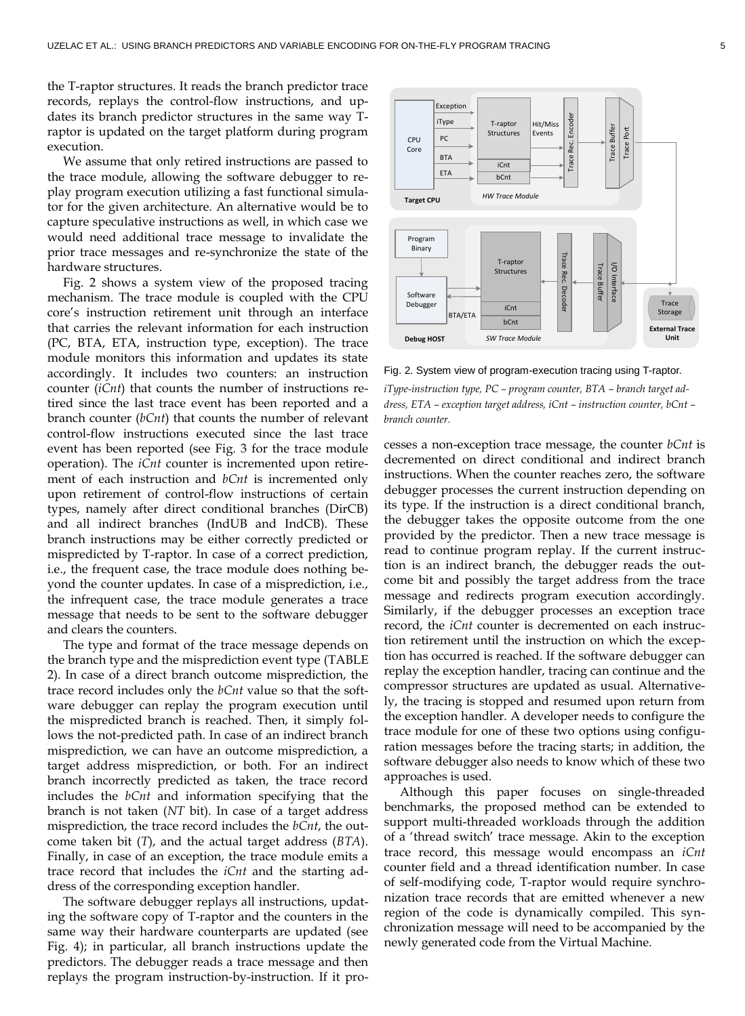the T-raptor structures. It reads the branch predictor trace records, replays the control-flow instructions, and updates its branch predictor structures in the same way Traptor is updated on the target platform during program execution.

We assume that only retired instructions are passed to the trace module, allowing the software debugger to replay program execution utilizing a fast functional simulator for the given architecture. An alternative would be to capture speculative instructions as well, in which case we would need additional trace message to invalidate the prior trace messages and re-synchronize the state of the hardware structures.

[Fig. 2](#page-4-0) shows a system view of the proposed tracing mechanism. The trace module is coupled with the CPU core's instruction retirement unit through an interface that carries the relevant information for each instruction (PC, BTA, ETA, instruction type, exception). The trace module monitors this information and updates its state accordingly. It includes two counters: an instruction counter (*iCnt*) that counts the number of instructions retired since the last trace event has been reported and a branch counter (*bCnt*) that counts the number of relevant control-flow instructions executed since the last trace event has been reported (see [Fig. 3](#page-5-0) for the trace module operation). The *iCnt* counter is incremented upon retirement of each instruction and *bCnt* is incremented only upon retirement of control-flow instructions of certain types, namely after direct conditional branches (DirCB) and all indirect branches (IndUB and IndCB). These branch instructions may be either correctly predicted or mispredicted by T-raptor. In case of a correct prediction, i.e., the frequent case, the trace module does nothing beyond the counter updates. In case of a misprediction, i.e., the infrequent case, the trace module generates a trace message that needs to be sent to the software debugger and clears the counters.

The type and format of the trace message depends on the branch type and the misprediction event type [\(TABLE](#page-5-1)  [2\)](#page-5-1). In case of a direct branch outcome misprediction, the trace record includes only the *bCnt* value so that the software debugger can replay the program execution until the mispredicted branch is reached. Then, it simply follows the not-predicted path. In case of an indirect branch misprediction, we can have an outcome misprediction, a target address misprediction, or both. For an indirect branch incorrectly predicted as taken, the trace record includes the *bCnt* and information specifying that the branch is not taken (*NT* bit). In case of a target address misprediction, the trace record includes the *bCnt*, the outcome taken bit (*T*), and the actual target address (*BTA*). Finally, in case of an exception, the trace module emits a trace record that includes the *iCnt* and the starting address of the corresponding exception handler.

The software debugger replays all instructions, updating the software copy of T-raptor and the counters in the same way their hardware counterparts are updated (see [Fig. 4\)](#page-5-2); in particular, all branch instructions update the predictors. The debugger reads a trace message and then replays the program instruction-by-instruction. If it pro-



<span id="page-4-0"></span>Fig. 2. System view of program-execution tracing using T-raptor.

*iType-instruction type, PC – program counter, BTA – branch target address, ETA – exception target address, iCnt – instruction counter, bCnt – branch counter.*

cesses a non-exception trace message, the counter *bCnt* is decremented on direct conditional and indirect branch instructions. When the counter reaches zero, the software debugger processes the current instruction depending on its type. If the instruction is a direct conditional branch, the debugger takes the opposite outcome from the one provided by the predictor. Then a new trace message is read to continue program replay. If the current instruction is an indirect branch, the debugger reads the outcome bit and possibly the target address from the trace message and redirects program execution accordingly. Similarly, if the debugger processes an exception trace record, the *iCnt* counter is decremented on each instruction retirement until the instruction on which the exception has occurred is reached. If the software debugger can replay the exception handler, tracing can continue and the compressor structures are updated as usual. Alternatively, the tracing is stopped and resumed upon return from the exception handler. A developer needs to configure the trace module for one of these two options using configuration messages before the tracing starts; in addition, the software debugger also needs to know which of these two approaches is used.

Although this paper focuses on single-threaded benchmarks, the proposed method can be extended to support multi-threaded workloads through the addition of a 'thread switch' trace message. Akin to the exception trace record, this message would encompass an *iCnt* counter field and a thread identification number. In case of self-modifying code, T-raptor would require synchronization trace records that are emitted whenever a new region of the code is dynamically compiled. This synchronization message will need to be accompanied by the newly generated code from the Virtual Machine.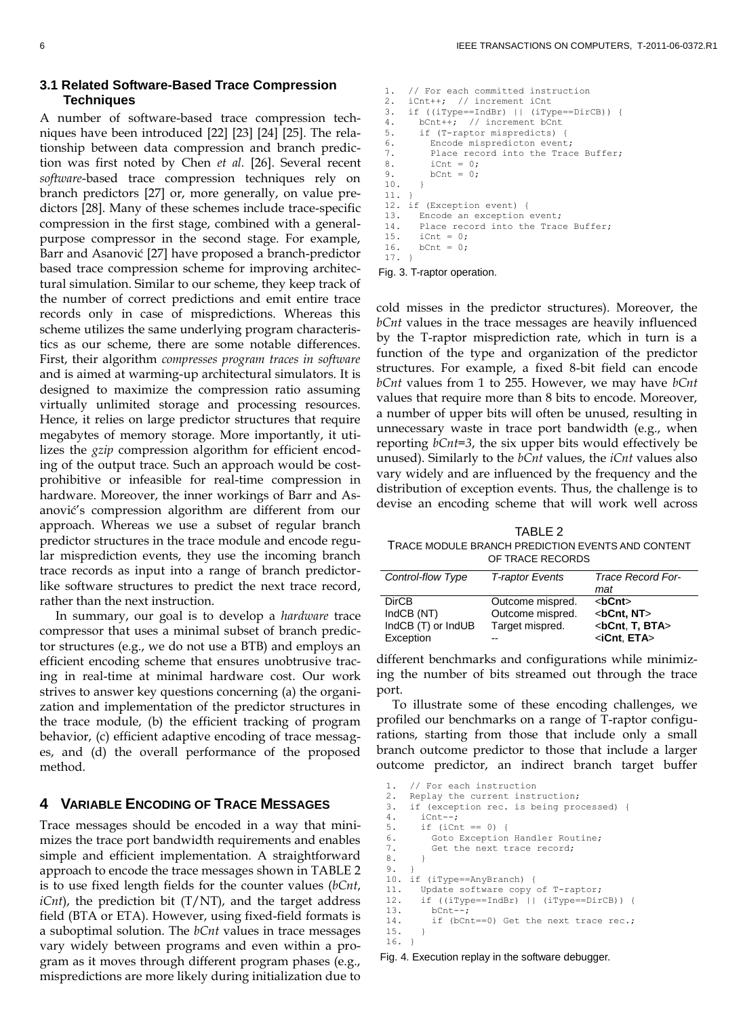## **3.1 Related Software-Based Trace Compression Techniques**

A number of software-based trace compression techniques have been introduced [22] [23] [24] [25]. The relationship between data compression and branch prediction was first noted by Chen *et al.* [26]. Several recent *software*-based trace compression techniques rely on branch predictors [27] or, more generally, on value predictors [28]. Many of these schemes include trace-specific compression in the first stage, combined with a generalpurpose compressor in the second stage. For example, Barr and Asanović [27] have proposed a branch-predictor based trace compression scheme for improving architectural simulation. Similar to our scheme, they keep track of the number of correct predictions and emit entire trace records only in case of mispredictions. Whereas this scheme utilizes the same underlying program characteristics as our scheme, there are some notable differences. First, their algorithm *compresses program traces in software* and is aimed at warming-up architectural simulators. It is designed to maximize the compression ratio assuming virtually unlimited storage and processing resources. Hence, it relies on large predictor structures that require megabytes of memory storage. More importantly, it utilizes the *gzip* compression algorithm for efficient encoding of the output trace. Such an approach would be costprohibitive or infeasible for real-time compression in hardware. Moreover, the inner workings of Barr and Asanović's compression algorithm are different from our approach. Whereas we use a subset of regular branch predictor structures in the trace module and encode regular misprediction events, they use the incoming branch trace records as input into a range of branch predictorlike software structures to predict the next trace record, rather than the next instruction.

In summary, our goal is to develop a *hardware* trace compressor that uses a minimal subset of branch predictor structures (e.g., we do not use a BTB) and employs an efficient encoding scheme that ensures unobtrusive tracing in real-time at minimal hardware cost. Our work strives to answer key questions concerning (a) the organization and implementation of the predictor structures in the trace module, (b) the efficient tracking of program behavior, (c) efficient adaptive encoding of trace messages, and (d) the overall performance of the proposed method.

# **4 VARIABLE ENCODING OF TRACE MESSAGES**

Trace messages should be encoded in a way that minimizes the trace port bandwidth requirements and enables simple and efficient implementation. A straightforward approach to encode the trace messages shown in [TABLE 2](#page-5-1) is to use fixed length fields for the counter values (*bCnt*, *iCnt*), the prediction bit (T/NT), and the target address field (BTA or ETA). However, using fixed-field formats is a suboptimal solution. The *bCnt* values in trace messages vary widely between programs and even within a program as it moves through different program phases (e.g., mispredictions are more likely during initialization due to

| 1.      | // For each committed instruction             |
|---------|-----------------------------------------------|
|         | 2. iCnt++; // increment iCnt                  |
| 3.      | if ( $(iType==IndBr)$    $(iType==DirCB)$ } { |
| 4.      | $bCnt++$ ; // increment $bCnt$                |
| 5.      | if (T-raptor mispredicts) {                   |
| 6.      | Encode mispredicton event;                    |
| 7.      | Place record into the Trace Buffer;           |
|         | $8.$ iCnt = 0;                                |
| 9.      | $bCnt = 0;$                                   |
| 10.     | - 1                                           |
| 11.     |                                               |
|         | 12. if (Exception event) {                    |
| 13.     | Encode an exception event;                    |
| 14.     | Place record into the Trace Buffer;           |
|         | $15.$ iCnt = 0:                               |
|         | 16. $bCnt = 0$ :                              |
| $17.$ } |                                               |
|         | Fig. 3. T-raptor operation.                   |

<span id="page-5-0"></span>cold misses in the predictor structures). Moreover, the *bCnt* values in the trace messages are heavily influenced by the T-raptor misprediction rate, which in turn is a function of the type and organization of the predictor structures. For example, a fixed 8-bit field can encode *bCnt* values from 1 to 255. However, we may have *bCnt* values that require more than 8 bits to encode. Moreover, a number of upper bits will often be unused, resulting in unnecessary waste in trace port bandwidth (e.g., when reporting *bCnt=3*, the six upper bits would effectively be unused). Similarly to the *bCnt* values, the *iCnt* values also vary widely and are influenced by the frequency and the distribution of exception events. Thus, the challenge is to devise an encoding scheme that will work well across

<span id="page-5-1"></span>TABLE 2 TRACE MODULE BRANCH PREDICTION EVENTS AND CONTENT OF TRACE RECORDS

| Control-flow Type  | <b>T-raptor Events</b> | <b>Trace Record For-</b>     |
|--------------------|------------------------|------------------------------|
|                    |                        | mat                          |
| <b>DirCB</b>       | Outcome mispred.       | <bcnt></bcnt>                |
| IndCB (NT)         | Outcome mispred.       | <bcnt, nt=""></bcnt,>        |
| IndCB (T) or IndUB | Target mispred.        | <bcnt, bta="" t,=""></bcnt,> |
| Exception          |                        | <icnt, eta=""></icnt,>       |

different benchmarks and configurations while minimizing the number of bits streamed out through the trace port.

To illustrate some of these encoding challenges, we profiled our benchmarks on a range of T-raptor configurations, starting from those that include only a small branch outcome predictor to those that include a larger outcome predictor, an indirect branch target buffer

```
1. // For each instruction
2. Replay the current instruction;<br>3. if (exception rec. is being pro
    if (exception rec. is being processed) {
4. iCnt--;<br>5. if (iCn)if (iCnt == 0) {
6. Goto Exception Handler Routine;
7. Get the next trace record; 
8 .
9.10. if (iType==AnyBranch) {
11. Update software copy of T-raptor;<br>12. if ((iType==IndBr) | (iType==Dir
       12. if ((iType==IndBr) || (iType==DirCB)) {
13. bCnt--;
14. if (bCnt==0) Get the next trace rec.;
15. }
16. }
```
<span id="page-5-2"></span>Fig. 4. Execution replay in the software debugger.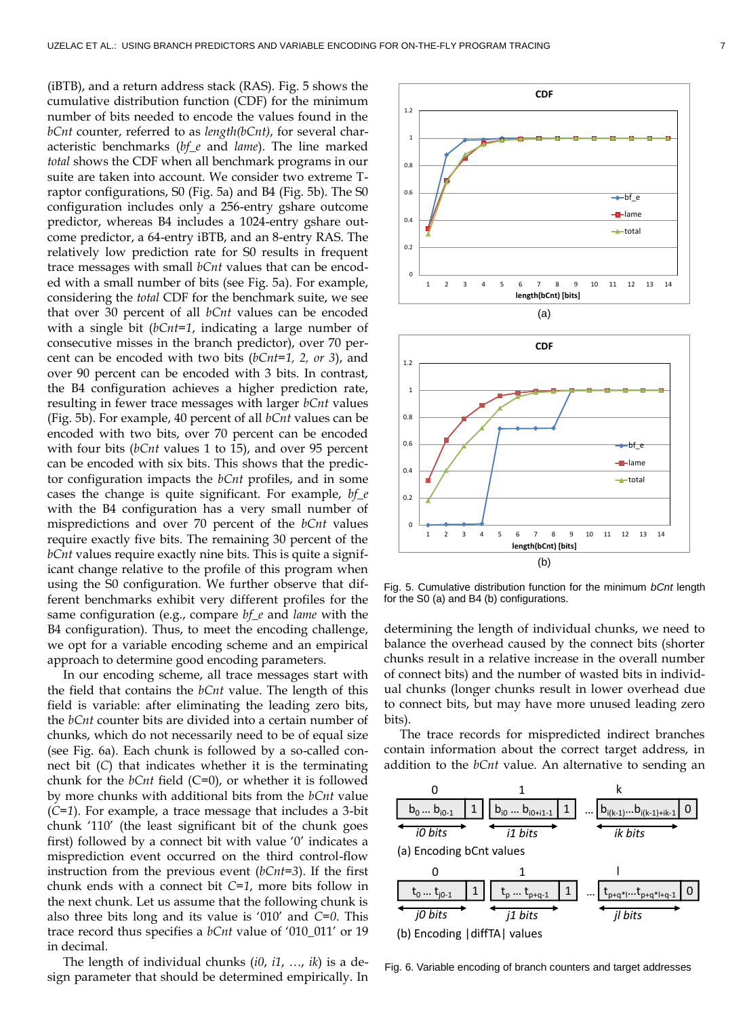(iBTB), and a return address stack (RAS). [Fig. 5](#page-6-0) shows the cumulative distribution function (CDF) for the minimum number of bits needed to encode the values found in the *bCnt* counter, referred to as *length(bCnt)*, for several characteristic benchmarks (*bf\_e* and *lame*). The line marked *total* shows the CDF when all benchmark programs in our suite are taken into account. We consider two extreme Traptor configurations, S0 [\(Fig. 5a](#page-6-0)) and B4 [\(Fig. 5b](#page-6-0)). The S0 configuration includes only a 256-entry gshare outcome predictor, whereas B4 includes a 1024-entry gshare outcome predictor, a 64-entry iBTB, and an 8-entry RAS. The relatively low prediction rate for S0 results in frequent trace messages with small *bCnt* values that can be encoded with a small number of bits (see [Fig. 5a](#page-6-0)). For example, considering the *total* CDF for the benchmark suite, we see that over 30 percent of all *bCnt* values can be encoded with a single bit (*bCnt=1*, indicating a large number of consecutive misses in the branch predictor), over 70 percent can be encoded with two bits (*bCnt*=*1, 2, or 3*), and over 90 percent can be encoded with 3 bits. In contrast, the B4 configuration achieves a higher prediction rate, resulting in fewer trace messages with larger *bCnt* values [\(Fig. 5b](#page-6-0)). For example, 40 percent of all *bCnt* values can be encoded with two bits, over 70 percent can be encoded with four bits (*bCnt* values 1 to 15), and over 95 percent can be encoded with six bits. This shows that the predictor configuration impacts the *bCnt* profiles, and in some cases the change is quite significant. For example, *bf\_e* with the B4 configuration has a very small number of mispredictions and over 70 percent of the *bCnt* values require exactly five bits. The remaining 30 percent of the *bCnt* values require exactly nine bits. This is quite a significant change relative to the profile of this program when using the S0 configuration. We further observe that different benchmarks exhibit very different profiles for the same configuration (e.g., compare *bf\_e* and *lame* with the B4 configuration). Thus, to meet the encoding challenge, we opt for a variable encoding scheme and an empirical approach to determine good encoding parameters.

In our encoding scheme, all trace messages start with the field that contains the *bCnt* value. The length of this field is variable: after eliminating the leading zero bits, the *bCnt* counter bits are divided into a certain number of chunks, which do not necessarily need to be of equal size (see [Fig. 6a](#page-6-1)). Each chunk is followed by a so-called connect bit (*C*) that indicates whether it is the terminating chunk for the *bCnt* field (C=0), or whether it is followed by more chunks with additional bits from the *bCnt* value (*C=1*). For example, a trace message that includes a 3-bit chunk '110' (the least significant bit of the chunk goes first) followed by a connect bit with value '0' indicates a misprediction event occurred on the third control-flow instruction from the previous event (*bCnt=3*). If the first chunk ends with a connect bit *C=1*, more bits follow in the next chunk. Let us assume that the following chunk is also three bits long and its value is '010' and *C=0*. This trace record thus specifies a *bCnt* value of '010\_011' or 19 in decimal.

The length of individual chunks (*i0*, *i1*, …, *ik*) is a design parameter that should be determined empirically. In





<span id="page-6-0"></span>Fig. 5. Cumulative distribution function for the minimum *bCnt* length for the S0 (a) and B4 (b) configurations.

determining the length of individual chunks, we need to balance the overhead caused by the connect bits (shorter chunks result in a relative increase in the overall number of connect bits) and the number of wasted bits in individual chunks (longer chunks result in lower overhead due to connect bits, but may have more unused leading zero bits).

The trace records for mispredicted indirect branches contain information about the correct target address, in addition to the *bCnt* value. An alternative to sending an



<span id="page-6-1"></span>Fig. 6. Variable encoding of branch counters and target addresses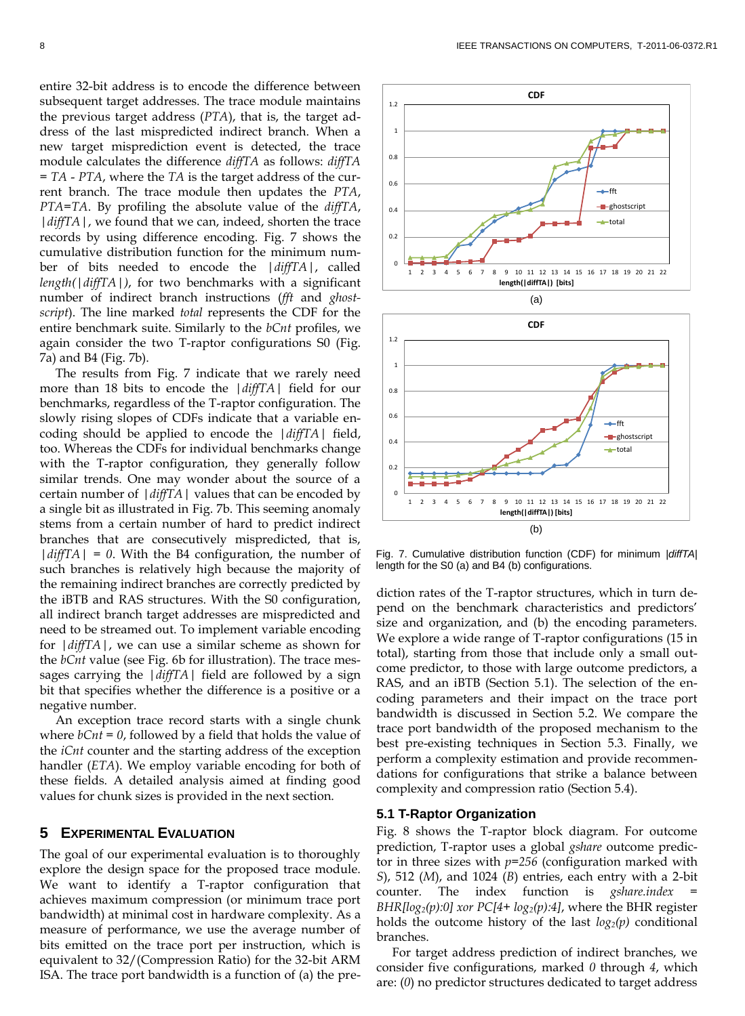entire 32-bit address is to encode the difference between subsequent target addresses. The trace module maintains the previous target address (*PTA*), that is, the target address of the last mispredicted indirect branch. When a new target misprediction event is detected, the trace module calculates the difference *diffTA* as follows: *diffTA* = *TA* - *PTA*, where the *TA* is the target address of the current branch. The trace module then updates the *PTA*, *PTA=TA*. By profiling the absolute value of the *diffTA*, *|diffTA|*, we found that we can, indeed, shorten the trace records by using difference encoding. [Fig. 7](#page-7-0) shows the cumulative distribution function for the minimum number of bits needed to encode the *|diffTA|*, called *length(|diffTA|)*, for two benchmarks with a significant number of indirect branch instructions (*fft* and *ghostscript*). The line marked *total* represents the CDF for the entire benchmark suite. Similarly to the *bCnt* profiles, we again consider the two T-raptor configurations S0 [\(Fig.](#page-7-0)  [7a](#page-7-0)) and B4 [\(Fig. 7b](#page-7-0)).

The results from [Fig. 7](#page-7-0) indicate that we rarely need more than 18 bits to encode the *|diffTA|* field for our benchmarks, regardless of the T-raptor configuration. The slowly rising slopes of CDFs indicate that a variable encoding should be applied to encode the *|diffTA|* field, too. Whereas the CDFs for individual benchmarks change with the T-raptor configuration, they generally follow similar trends. One may wonder about the source of a certain number of *|diffTA|* values that can be encoded by a single bit as illustrated in [Fig. 7b](#page-7-0). This seeming anomaly stems from a certain number of hard to predict indirect branches that are consecutively mispredicted, that is, *|diffTA| = 0*. With the B4 configuration, the number of such branches is relatively high because the majority of the remaining indirect branches are correctly predicted by the iBTB and RAS structures. With the S0 configuration, all indirect branch target addresses are mispredicted and need to be streamed out. To implement variable encoding for *|diffTA|*, we can use a similar scheme as shown for the *bCnt* value (see [Fig. 6b](#page-6-1) for illustration). The trace messages carrying the *|diffTA|* field are followed by a sign bit that specifies whether the difference is a positive or a negative number.

An exception trace record starts with a single chunk where *bCnt = 0*, followed by a field that holds the value of the *iCnt* counter and the starting address of the exception handler (*ETA*). We employ variable encoding for both of these fields. A detailed analysis aimed at finding good values for chunk sizes is provided in the next section.

#### **5 EXPERIMENTAL EVALUATION**

The goal of our experimental evaluation is to thoroughly explore the design space for the proposed trace module. We want to identify a T-raptor configuration that achieves maximum compression (or minimum trace port bandwidth) at minimal cost in hardware complexity. As a measure of performance, we use the average number of bits emitted on the trace port per instruction, which is equivalent to 32/(Compression Ratio) for the 32-bit ARM ISA. The trace port bandwidth is a function of (a) the pre-



<span id="page-7-0"></span>Fig. 7. Cumulative distribution function (CDF) for minimum *|diffTA|* length for the S0 (a) and B4 (b) configurations.

diction rates of the T-raptor structures, which in turn depend on the benchmark characteristics and predictors' size and organization, and (b) the encoding parameters. We explore a wide range of T-raptor configurations (15 in total), starting from those that include only a small outcome predictor, to those with large outcome predictors, a RAS, and an iBTB (Section 5.1). The selection of the encoding parameters and their impact on the trace port bandwidth is discussed in Section 5.2. We compare the trace port bandwidth of the proposed mechanism to the best pre-existing techniques in Section 5.3. Finally, we perform a complexity estimation and provide recommendations for configurations that strike a balance between complexity and compression ratio (Section 5.4).

#### **5.1 T-Raptor Organization**

[Fig. 8](#page-8-0) shows the T-raptor block diagram. For outcome prediction, T-raptor uses a global *gshare* outcome predictor in three sizes with *p=256* (configuration marked with *S*), 512 (*M*), and 1024 (*B*) entries, each entry with a 2-bit counter. The index function is *gshare.index = BHR[log2(p):0] xor PC[4+ log2(p):4]*, where the BHR register holds the outcome history of the last *log2(p)* conditional branches.

For target address prediction of indirect branches, we consider five configurations, marked *0* through *4*, which are: (*0*) no predictor structures dedicated to target address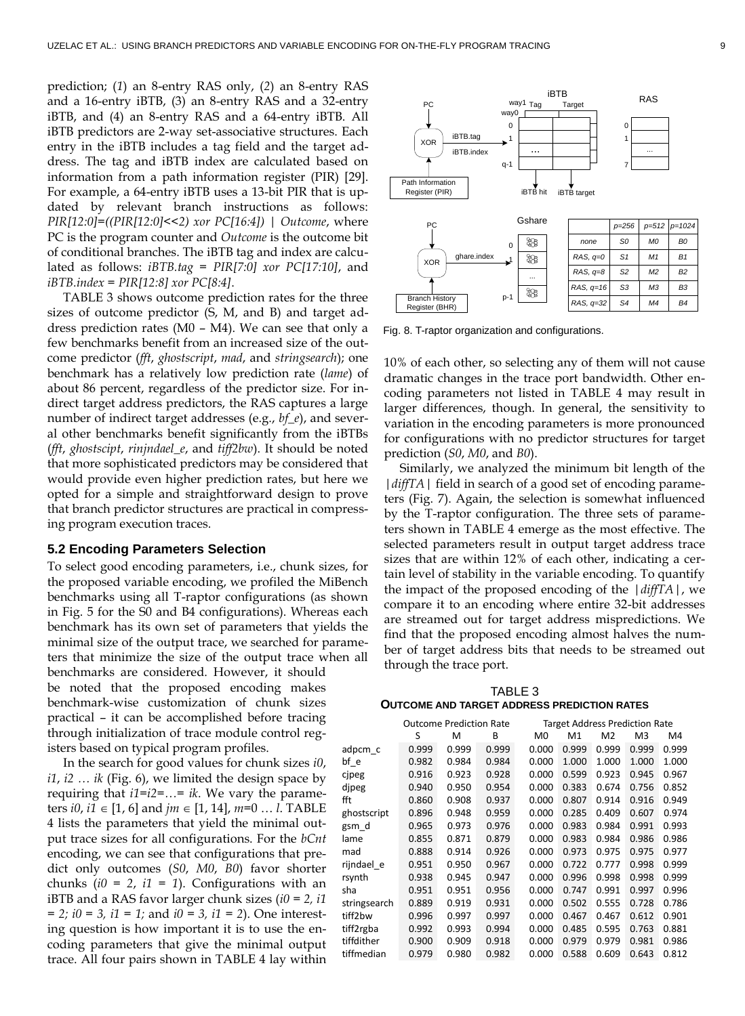prediction; (*1*) an 8-entry RAS only, (*2*) an 8-entry RAS and a 16-entry iBTB, (3) an 8-entry RAS and a 32-entry iBTB, and (4) an 8-entry RAS and a 64-entry iBTB. All iBTB predictors are 2-way set-associative structures. Each entry in the iBTB includes a tag field and the target address. The tag and iBTB index are calculated based on information from a path information register (PIR) [29]. For example, a 64-entry iBTB uses a 13-bit PIR that is updated by relevant branch instructions as follows: *PIR[12:0]=((PIR[12:0]<<2) xor PC[16:4]) | Outcome*, where PC is the program counter and *Outcome* is the outcome bit of conditional branches. The iBTB tag and index are calculated as follows: *iBTB.tag = PIR[7:0] xor PC[17:10]*, and *iBTB.index = PIR[12:8] xor PC[8:4]*.

[TABLE 3](#page-8-1) shows outcome prediction rates for the three sizes of outcome predictor (S, M, and B) and target address prediction rates (M0 – M4). We can see that only a few benchmarks benefit from an increased size of the outcome predictor (*fft*, *ghostscript*, *mad*, and *stringsearch*); one benchmark has a relatively low prediction rate (*lame*) of about 86 percent, regardless of the predictor size. For indirect target address predictors, the RAS captures a large number of indirect target addresses (e.g., *bf\_e*), and several other benchmarks benefit significantly from the iBTBs (*fft*, *ghostscipt*, *rinjndael\_e*, and *tiff2bw*). It should be noted that more sophisticated predictors may be considered that would provide even higher prediction rates, but here we opted for a simple and straightforward design to prove that branch predictor structures are practical in compressing program execution traces.

#### **5.2 Encoding Parameters Selection**

To select good encoding parameters, i.e., chunk sizes, for the proposed variable encoding, we profiled the MiBench benchmarks using all T-raptor configurations (as shown in [Fig. 5](#page-6-0) for the S0 and B4 configurations). Whereas each benchmark has its own set of parameters that yields the minimal size of the output trace, we searched for parameters that minimize the size of the output trace when all benchmarks are considered. However, it should be noted that the proposed encoding makes benchmark-wise customization of chunk sizes practical – it can be accomplished before tracing through initialization of trace module control registers based on typical program profiles.

In the search for good values for chunk sizes *i0*, *i1*, *i2 … ik* [\(Fig. 6\)](#page-6-1), we limited the design space by requiring that *i1=i2=…= ik*. We vary the parame $ters i0, i1 \in [1, 6]$  and  $jm \in [1, 14]$ ,  $m=0 \ldots l$ . TABLE [4](#page-9-0) lists the parameters that yield the minimal output trace sizes for all configurations. For the *bCnt* encoding, we can see that configurations that predict only outcomes (*S0*, *M0*, *B0*) favor shorter chunks  $(i0 = 2, i1 = 1)$ . Configurations with an iBTB and a RAS favor larger chunk sizes (*i0 = 2, i1 = 2; i0 = 3, i1 = 1;* and *i0 = 3, i1 = 2*). One interesting question is how important it is to use the encoding parameters that give the minimal output trace. All four pairs shown in [TABLE 4](#page-9-0) lay within



<span id="page-8-0"></span>Fig. 8. T-raptor organization and configurations.

10% of each other, so selecting any of them will not cause dramatic changes in the trace port bandwidth. Other encoding parameters not listed in [TABLE 4](#page-9-0) may result in larger differences, though. In general, the sensitivity to variation in the encoding parameters is more pronounced for configurations with no predictor structures for target prediction (*S0*, *M0*, and *B0*).

Similarly, we analyzed the minimum bit length of the *|diffTA|* field in search of a good set of encoding parameters [\(Fig. 7\)](#page-7-0). Again, the selection is somewhat influenced by the T-raptor configuration. The three sets of parameters shown in [TABLE 4](#page-9-0) emerge as the most effective. The selected parameters result in output target address trace sizes that are within 12% of each other, indicating a certain level of stability in the variable encoding. To quantify the impact of the proposed encoding of the *|diffTA|*, we compare it to an encoding where entire 32-bit addresses are streamed out for target address mispredictions. We find that the proposed encoding almost halves the number of target address bits that needs to be streamed out through the trace port.

TABLE 3 **OUTCOME AND TARGET ADDRESS PREDICTION RATES**

<span id="page-8-1"></span>

|              | <b>Outcome Prediction Rate</b> |       |       | <b>Target Address Prediction Rate</b> |       |                |                |       |  |  |
|--------------|--------------------------------|-------|-------|---------------------------------------|-------|----------------|----------------|-------|--|--|
|              | S                              | М     | B     | M <sub>0</sub>                        | M1    | M <sub>2</sub> | M <sub>3</sub> | M4    |  |  |
| adpcm c      | 0.999                          | 0.999 | 0.999 | 0.000                                 | 0.999 | 0.999          | 0.999          | 0.999 |  |  |
| bf e         | 0.982                          | 0.984 | 0.984 | 0.000                                 | 1.000 | 1.000          | 1.000          | 1.000 |  |  |
| cjpeg        | 0.916                          | 0.923 | 0.928 | 0.000                                 | 0.599 | 0.923          | 0.945          | 0.967 |  |  |
| dipeg        | 0.940                          | 0.950 | 0.954 | 0.000                                 | 0.383 | 0.674          | 0.756          | 0.852 |  |  |
| fft          | 0.860                          | 0.908 | 0.937 | 0.000                                 | 0.807 | 0.914          | 0.916          | 0.949 |  |  |
| ghostscript  | 0.896                          | 0.948 | 0.959 | 0.000                                 | 0.285 | 0.409          | 0.607          | 0.974 |  |  |
| gsm d        | 0.965                          | 0.973 | 0.976 | 0.000                                 | 0.983 | 0.984          | 0.991          | 0.993 |  |  |
| lame         | 0.855                          | 0.871 | 0.879 | 0.000                                 | 0.983 | 0.984          | 0.986          | 0.986 |  |  |
| mad          | 0.888                          | 0.914 | 0.926 | 0.000                                 | 0.973 | 0.975          | 0.975          | 0.977 |  |  |
| rijndael e   | 0.951                          | 0.950 | 0.967 | 0.000                                 | 0.722 | 0.777          | 0.998          | 0.999 |  |  |
| rsynth       | 0.938                          | 0.945 | 0.947 | 0.000                                 | 0.996 | 0.998          | 0.998          | 0.999 |  |  |
| sha          | 0.951                          | 0.951 | 0.956 | 0.000                                 | 0.747 | 0.991          | 0.997          | 0.996 |  |  |
| stringsearch | 0.889                          | 0.919 | 0.931 | 0.000                                 | 0.502 | 0.555          | 0.728          | 0.786 |  |  |
| tiff2bw      | 0.996                          | 0.997 | 0.997 | 0.000                                 | 0.467 | 0.467          | 0.612          | 0.901 |  |  |
| tiff2rgba    | 0.992                          | 0.993 | 0.994 | 0.000                                 | 0.485 | 0.595          | 0.763          | 0.881 |  |  |
| tiffdither   | 0.900                          | 0.909 | 0.918 | 0.000                                 | 0.979 | 0.979          | 0.981          | 0.986 |  |  |
| tiffmedian   | 0.979                          | 0.980 | 0.982 | 0.000                                 | 0.588 | 0.609          | 0.643          | 0.812 |  |  |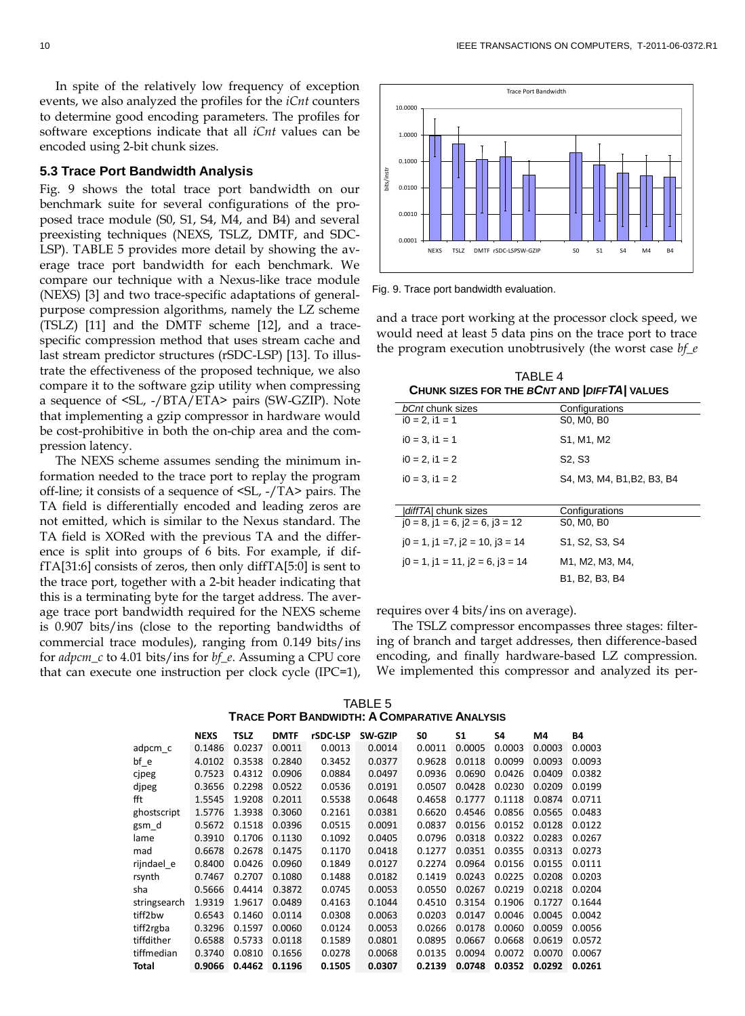#### **5.3 Trace Port Bandwidth Analysis**

[Fig. 9](#page-9-1) shows the total trace port bandwidth on our benchmark suite for several configurations of the proposed trace module (S0, S1, S4, M4, and B4) and several preexisting techniques (NEXS, TSLZ, DMTF, and SDC-LSP). [TABLE 5](#page-9-2) provides more detail by showing the average trace port bandwidth for each benchmark. We compare our technique with a Nexus-like trace module (NEXS) [3] and two trace-specific adaptations of generalpurpose compression algorithms, namely the LZ scheme (TSLZ) [11] and the DMTF scheme [12], and a tracespecific compression method that uses stream cache and last stream predictor structures (rSDC-LSP) [13]. To illustrate the effectiveness of the proposed technique, we also compare it to the software gzip utility when compressing a sequence of <SL, -/BTA/ETA> pairs (SW-GZIP). Note that implementing a gzip compressor in hardware would be cost-prohibitive in both the on-chip area and the compression latency.

The NEXS scheme assumes sending the minimum information needed to the trace port to replay the program off-line; it consists of a sequence of <SL, -/TA> pairs. The TA field is differentially encoded and leading zeros are not emitted, which is similar to the Nexus standard. The TA field is XORed with the previous TA and the difference is split into groups of 6 bits. For example, if diffTA[31:6] consists of zeros, then only diffTA[5:0] is sent to the trace port, together with a 2-bit header indicating that this is a terminating byte for the target address. The average trace port bandwidth required for the NEXS scheme is 0.907 bits/ins (close to the reporting bandwidths of commercial trace modules), ranging from 0.149 bits/ins for *adpcm\_c* to 4.01 bits/ins for *bf\_e*. Assuming a CPU core that can execute one instruction per clock cycle (IPC=1),



<span id="page-9-1"></span>Fig. 9. Trace port bandwidth evaluation.

and a trace port working at the processor clock speed, we would need at least 5 data pins on the trace port to trace the program execution unobtrusively (the worst case *bf\_e*

<span id="page-9-0"></span>TABLE 4 **CHUNK SIZES FOR THE** *BCNT* **AND** *|DIFFTA|* **VALUES**

| bCnt chunk sizes                            | Configurations                                                    |
|---------------------------------------------|-------------------------------------------------------------------|
| $i0 = 2$ , $i1 = 1$                         | S0, M0, B0                                                        |
| $i0 = 3$ , i1 = 1                           | S1, M1, M2                                                        |
|                                             |                                                                   |
| $i0 = 2$ , i1 = 2                           | S <sub>2</sub> , S <sub>3</sub>                                   |
| $i0 = 3$ , i1 = 2                           | S4, M3, M4, B1, B2, B3, B4                                        |
|                                             |                                                                   |
| <i>ldiffTAI</i> chunk sizes                 | Configurations                                                    |
| $i0 = 8$ , $i1 = 6$ , $i2 = 6$ , $i3 = 12$  | S0, M0, B0                                                        |
| $i0 = 1$ , $i1 = 7$ , $i2 = 10$ , $i3 = 14$ | S <sub>1</sub> . S <sub>2</sub> . S <sub>3</sub> . S <sub>4</sub> |
|                                             |                                                                   |
| $i0 = 1$ , $i1 = 11$ , $i2 = 6$ , $i3 = 14$ | M1, M2, M3, M4,                                                   |
|                                             | B1. B2. B3. B4                                                    |

requires over 4 bits/ins on average).

The TSLZ compressor encompasses three stages: filtering of branch and target addresses, then difference-based encoding, and finally hardware-based LZ compression. We implemented this compressor and analyzed its per-

TABLE 5 **TRACE PORT BANDWIDTH: A COMPARATIVE ANALYSIS**

<span id="page-9-2"></span>

|              | <b>NEXS</b> | TSLZ   | <b>DMTF</b> | rSDC-LSP | SW-GZIP | S0     | <b>S1</b> | S4     | M4     | <b>B4</b> |
|--------------|-------------|--------|-------------|----------|---------|--------|-----------|--------|--------|-----------|
| adpcm c      | 0.1486      | 0.0237 | 0.0011      | 0.0013   | 0.0014  | 0.0011 | 0.0005    | 0.0003 | 0.0003 | 0.0003    |
| bf e         | 4.0102      | 0.3538 | 0.2840      | 0.3452   | 0.0377  | 0.9628 | 0.0118    | 0.0099 | 0.0093 | 0.0093    |
| cipeg        | 0.7523      | 0.4312 | 0.0906      | 0.0884   | 0.0497  | 0.0936 | 0.0690    | 0.0426 | 0.0409 | 0.0382    |
| djpeg        | 0.3656      | 0.2298 | 0.0522      | 0.0536   | 0.0191  | 0.0507 | 0.0428    | 0.0230 | 0.0209 | 0.0199    |
| fft          | 1.5545      | 1.9208 | 0.2011      | 0.5538   | 0.0648  | 0.4658 | 0.1777    | 0.1118 | 0.0874 | 0.0711    |
| ghostscript  | 1.5776      | 1.3938 | 0.3060      | 0.2161   | 0.0381  | 0.6620 | 0.4546    | 0.0856 | 0.0565 | 0.0483    |
| gsm d        | 0.5672      | 0.1518 | 0.0396      | 0.0515   | 0.0091  | 0.0837 | 0.0156    | 0.0152 | 0.0128 | 0.0122    |
| lame         | 0.3910      | 0.1706 | 0.1130      | 0.1092   | 0.0405  | 0.0796 | 0.0318    | 0.0322 | 0.0283 | 0.0267    |
| mad          | 0.6678      | 0.2678 | 0.1475      | 0.1170   | 0.0418  | 0.1277 | 0.0351    | 0.0355 | 0.0313 | 0.0273    |
| rijndael e   | 0.8400      | 0.0426 | 0.0960      | 0.1849   | 0.0127  | 0.2274 | 0.0964    | 0.0156 | 0.0155 | 0.0111    |
| rsynth       | 0.7467      | 0.2707 | 0.1080      | 0.1488   | 0.0182  | 0.1419 | 0.0243    | 0.0225 | 0.0208 | 0.0203    |
| sha          | 0.5666      | 0.4414 | 0.3872      | 0.0745   | 0.0053  | 0.0550 | 0.0267    | 0.0219 | 0.0218 | 0.0204    |
| stringsearch | 1.9319      | 1.9617 | 0.0489      | 0.4163   | 0.1044  | 0.4510 | 0.3154    | 0.1906 | 0.1727 | 0.1644    |
| tiff2bw      | 0.6543      | 0.1460 | 0.0114      | 0.0308   | 0.0063  | 0.0203 | 0.0147    | 0.0046 | 0.0045 | 0.0042    |
| tiff2rgba    | 0.3296      | 0.1597 | 0.0060      | 0.0124   | 0.0053  | 0.0266 | 0.0178    | 0.0060 | 0.0059 | 0.0056    |
| tiffdither   | 0.6588      | 0.5733 | 0.0118      | 0.1589   | 0.0801  | 0.0895 | 0.0667    | 0.0668 | 0.0619 | 0.0572    |
| tiffmedian   | 0.3740      | 0.0810 | 0.1656      | 0.0278   | 0.0068  | 0.0135 | 0.0094    | 0.0072 | 0.0070 | 0.0067    |
| Total        | 0.9066      | 0.4462 | 0.1196      | 0.1505   | 0.0307  | 0.2139 | 0.0748    | 0.0352 | 0.0292 | 0.0261    |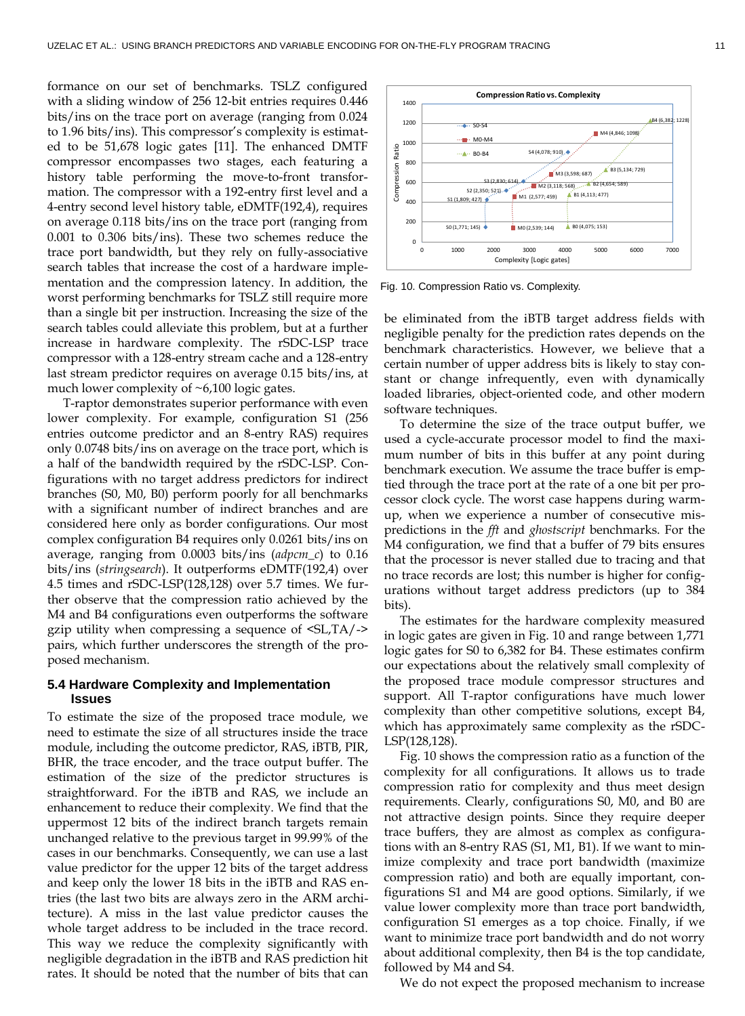formance on our set of benchmarks. TSLZ configured with a sliding window of 256 12-bit entries requires 0.446 bits/ins on the trace port on average (ranging from 0.024 to 1.96 bits/ins). This compressor's complexity is estimated to be 51,678 logic gates [11]. The enhanced DMTF compressor encompasses two stages, each featuring a history table performing the move-to-front transformation. The compressor with a 192-entry first level and a 4-entry second level history table, eDMTF(192,4), requires on average 0.118 bits/ins on the trace port (ranging from 0.001 to 0.306 bits/ins). These two schemes reduce the trace port bandwidth, but they rely on fully-associative search tables that increase the cost of a hardware implementation and the compression latency. In addition, the worst performing benchmarks for TSLZ still require more than a single bit per instruction. Increasing the size of the search tables could alleviate this problem, but at a further increase in hardware complexity. The rSDC-LSP trace compressor with a 128-entry stream cache and a 128-entry last stream predictor requires on average 0.15 bits/ins, at much lower complexity of  $\sim 6,100$  logic gates.

T-raptor demonstrates superior performance with even lower complexity. For example, configuration S1 (256 entries outcome predictor and an 8-entry RAS) requires only 0.0748 bits/ins on average on the trace port, which is a half of the bandwidth required by the rSDC-LSP. Configurations with no target address predictors for indirect branches (S0, M0, B0) perform poorly for all benchmarks with a significant number of indirect branches and are considered here only as border configurations. Our most complex configuration B4 requires only 0.0261 bits/ins on average, ranging from 0.0003 bits/ins (*adpcm\_c*) to 0.16 bits/ins (*stringsearch*). It outperforms eDMTF(192,4) over 4.5 times and rSDC-LSP(128,128) over 5.7 times. We further observe that the compression ratio achieved by the M4 and B4 configurations even outperforms the software gzip utility when compressing a sequence of <SL,TA/-> pairs, which further underscores the strength of the proposed mechanism.

## **5.4 Hardware Complexity and Implementation Issues**

To estimate the size of the proposed trace module, we need to estimate the size of all structures inside the trace module, including the outcome predictor, RAS, iBTB, PIR, BHR, the trace encoder, and the trace output buffer. The estimation of the size of the predictor structures is straightforward. For the iBTB and RAS, we include an enhancement to reduce their complexity. We find that the uppermost 12 bits of the indirect branch targets remain unchanged relative to the previous target in 99.99% of the cases in our benchmarks. Consequently, we can use a last value predictor for the upper 12 bits of the target address and keep only the lower 18 bits in the iBTB and RAS entries (the last two bits are always zero in the ARM architecture). A miss in the last value predictor causes the whole target address to be included in the trace record. This way we reduce the complexity significantly with negligible degradation in the iBTB and RAS prediction hit rates. It should be noted that the number of bits that can



<span id="page-10-0"></span>Fig. 10. Compression Ratio vs. Complexity.

be eliminated from the iBTB target address fields with negligible penalty for the prediction rates depends on the benchmark characteristics. However, we believe that a certain number of upper address bits is likely to stay constant or change infrequently, even with dynamically loaded libraries, object-oriented code, and other modern software techniques.

To determine the size of the trace output buffer, we used a cycle-accurate processor model to find the maximum number of bits in this buffer at any point during benchmark execution. We assume the trace buffer is emptied through the trace port at the rate of a one bit per processor clock cycle. The worst case happens during warmup, when we experience a number of consecutive mispredictions in the *fft* and *ghostscript* benchmarks. For the M4 configuration, we find that a buffer of 79 bits ensures that the processor is never stalled due to tracing and that no trace records are lost; this number is higher for configurations without target address predictors (up to 384 bits).

The estimates for the hardware complexity measured in logic gates are given in [Fig. 10](#page-10-0) and range between 1,771 logic gates for S0 to 6,382 for B4. These estimates confirm our expectations about the relatively small complexity of the proposed trace module compressor structures and support. All T-raptor configurations have much lower complexity than other competitive solutions, except B4, which has approximately same complexity as the rSDC-LSP(128,128).

[Fig. 10](#page-10-0) shows the compression ratio as a function of the complexity for all configurations. It allows us to trade compression ratio for complexity and thus meet design requirements. Clearly, configurations S0, M0, and B0 are not attractive design points. Since they require deeper trace buffers, they are almost as complex as configurations with an 8-entry RAS (S1, M1, B1). If we want to minimize complexity and trace port bandwidth (maximize compression ratio) and both are equally important, configurations S1 and M4 are good options. Similarly, if we value lower complexity more than trace port bandwidth, configuration S1 emerges as a top choice. Finally, if we want to minimize trace port bandwidth and do not worry about additional complexity, then B4 is the top candidate, followed by M4 and S4.

We do not expect the proposed mechanism to increase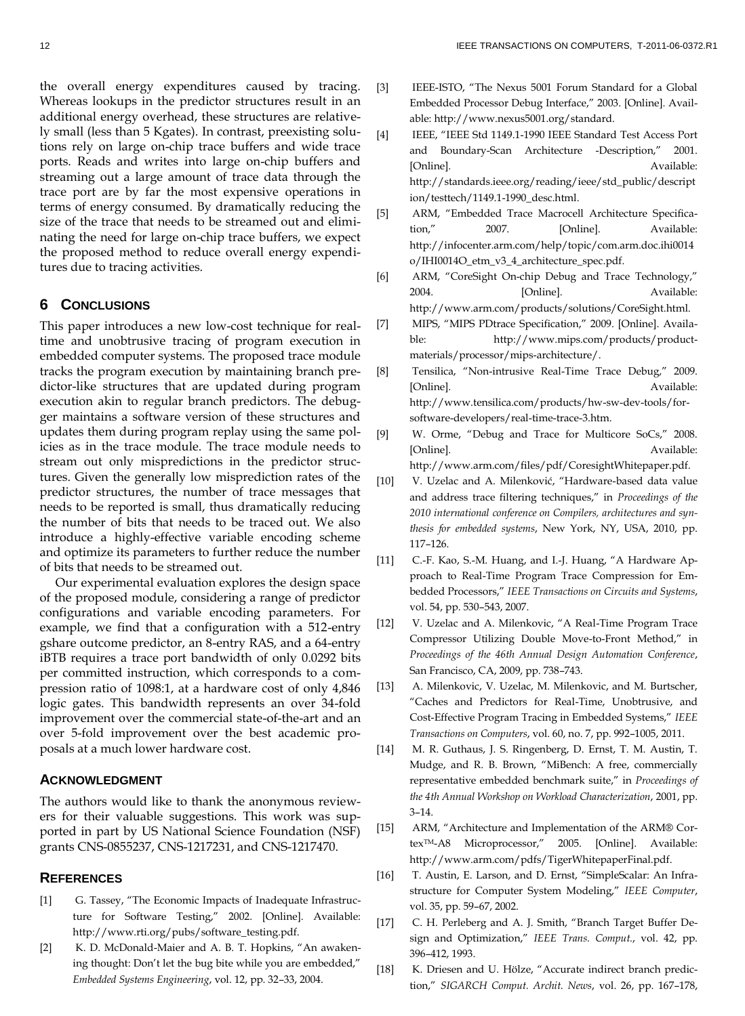the overall energy expenditures caused by tracing. Whereas lookups in the predictor structures result in an additional energy overhead, these structures are relatively small (less than 5 Kgates). In contrast, preexisting solutions rely on large on-chip trace buffers and wide trace ports. Reads and writes into large on-chip buffers and streaming out a large amount of trace data through the trace port are by far the most expensive operations in terms of energy consumed. By dramatically reducing the size of the trace that needs to be streamed out and eliminating the need for large on-chip trace buffers, we expect the proposed method to reduce overall energy expenditures due to tracing activities.

## **6 CONCLUSIONS**

This paper introduces a new low-cost technique for realtime and unobtrusive tracing of program execution in embedded computer systems. The proposed trace module tracks the program execution by maintaining branch predictor-like structures that are updated during program execution akin to regular branch predictors. The debugger maintains a software version of these structures and updates them during program replay using the same policies as in the trace module. The trace module needs to stream out only mispredictions in the predictor structures. Given the generally low misprediction rates of the predictor structures, the number of trace messages that needs to be reported is small, thus dramatically reducing the number of bits that needs to be traced out. We also introduce a highly-effective variable encoding scheme and optimize its parameters to further reduce the number of bits that needs to be streamed out.

Our experimental evaluation explores the design space of the proposed module, considering a range of predictor configurations and variable encoding parameters. For example, we find that a configuration with a 512-entry gshare outcome predictor, an 8-entry RAS, and a 64-entry iBTB requires a trace port bandwidth of only 0.0292 bits per committed instruction, which corresponds to a compression ratio of 1098:1, at a hardware cost of only 4,846 logic gates. This bandwidth represents an over 34-fold improvement over the commercial state-of-the-art and an over 5-fold improvement over the best academic proposals at a much lower hardware cost.

## **ACKNOWLEDGMENT**

The authors would like to thank the anonymous reviewers for their valuable suggestions. This work was supported in part by US National Science Foundation (NSF) grants CNS-0855237, CNS-1217231, and CNS-1217470.

## **REFERENCES**

- [1] G. Tassey, "The Economic Impacts of Inadequate Infrastructure for Software Testing," 2002. [Online]. Available: http://www.rti.org/pubs/software\_testing.pdf.
- [2] K. D. McDonald-Maier and A. B. T. Hopkins, "An awakening thought: Don't let the bug bite while you are embedded," *Embedded Systems Engineering*, vol. 12, pp. 32–33, 2004.
- [3] IEEE-ISTO, "The Nexus 5001 Forum Standard for a Global Embedded Processor Debug Interface," 2003. [Online]. Available: http://www.nexus5001.org/standard.
- [4] IEEE, "IEEE Std 1149.1-1990 IEEE Standard Test Access Port and Boundary-Scan Architecture -Description," 2001. [Online]. Available: http://standards.ieee.org/reading/ieee/std\_public/descript ion/testtech/1149.1-1990\_desc.html.
- [5] ARM, "Embedded Trace Macrocell Architecture Specification," 2007. [Online]. Available: http://infocenter.arm.com/help/topic/com.arm.doc.ihi0014 o/IHI0014O\_etm\_v3\_4\_architecture\_spec.pdf.
- [6] ARM, "CoreSight On-chip Debug and Trace Technology," 2004. [Online]. Available: http://www.arm.com/products/solutions/CoreSight.html.
- [7] MIPS, "MIPS PDtrace Specification," 2009. [Online]. Available: http://www.mips.com/products/productmaterials/processor/mips-architecture/.
- [8] Tensilica, "Non-intrusive Real-Time Trace Debug," 2009. [Online]. Available: http://www.tensilica.com/products/hw-sw-dev-tools/forsoftware-developers/real-time-trace-3.htm.
- [9] W. Orme, "Debug and Trace for Multicore SoCs," 2008. [Online]. Available: http://www.arm.com/files/pdf/CoresightWhitepaper.pdf.
- [10] V. Uzelac and A. Milenković, "Hardware-based data value and address trace filtering techniques," in *Proceedings of the 2010 international conference on Compilers, architectures and synthesis for embedded systems*, New York, NY, USA, 2010, pp. 117–126.
- [11] C.-F. Kao, S.-M. Huang, and I.-J. Huang, "A Hardware Approach to Real-Time Program Trace Compression for Embedded Processors," *IEEE Transactions on Circuits and Systems*, vol. 54, pp. 530–543, 2007.
- [12] V. Uzelac and A. Milenkovic, "A Real-Time Program Trace Compressor Utilizing Double Move-to-Front Method," in *Proceedings of the 46th Annual Design Automation Conference*, San Francisco, CA, 2009, pp. 738–743.
- [13] A. Milenkovic, V. Uzelac, M. Milenkovic, and M. Burtscher, "Caches and Predictors for Real-Time, Unobtrusive, and Cost-Effective Program Tracing in Embedded Systems," *IEEE Transactions on Computers*, vol. 60, no. 7, pp. 992–1005, 2011.
- [14] M. R. Guthaus, J. S. Ringenberg, D. Ernst, T. M. Austin, T. Mudge, and R. B. Brown, "MiBench: A free, commercially representative embedded benchmark suite," in *Proceedings of the 4th Annual Workshop on Workload Characterization*, 2001, pp. 3–14.
- [15] ARM, "Architecture and Implementation of the ARM® CortexTM-A8 Microprocessor," 2005. [Online]. Available: http://www.arm.com/pdfs/TigerWhitepaperFinal.pdf.
- [16] T. Austin, E. Larson, and D. Ernst, "SimpleScalar: An Infrastructure for Computer System Modeling," *IEEE Computer*, vol. 35, pp. 59–67, 2002.
- [17] C. H. Perleberg and A. J. Smith, "Branch Target Buffer Design and Optimization," *IEEE Trans. Comput.*, vol. 42, pp. 396–412, 1993.
- [18] K. Driesen and U. Hölze, "Accurate indirect branch prediction," *SIGARCH Comput. Archit. News*, vol. 26, pp. 167–178,